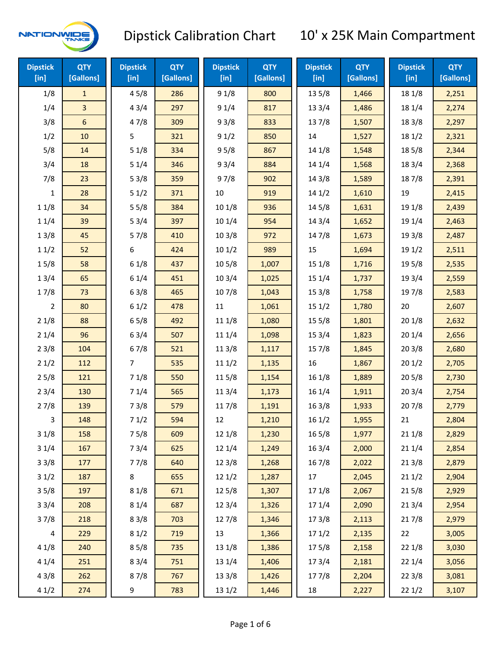

| <b>Dipstick</b><br>[in] | <b>QTY</b><br>[Gallons] | <b>Dipstick</b><br>[in] | <b>QTY</b><br>[Gallons] | <b>Dipstick</b><br>[in] | <b>QTY</b><br>[Gallons] | <b>Dipstick</b><br>[in] | <b>QTY</b><br>[Gallons] | <b>Dipstick</b><br>$[$ in] | <b>QTY</b><br>[Gallons] |
|-------------------------|-------------------------|-------------------------|-------------------------|-------------------------|-------------------------|-------------------------|-------------------------|----------------------------|-------------------------|
| 1/8                     | $\mathbf{1}$            | 45/8                    | 286                     | 91/8                    | 800                     | 13 5/8                  | 1,466                   | 18 1/8                     | 2,251                   |
| 1/4                     | $\overline{\mathbf{3}}$ | 43/4                    | 297                     | 91/4                    | 817                     | 133/4                   | 1,486                   | 18 1/4                     | 2,274                   |
| 3/8                     | $6\phantom{1}6$         | 47/8                    | 309                     | 93/8                    | 833                     | 137/8                   | 1,507                   | 18 3/8                     | 2,297                   |
| 1/2                     | 10                      | 5                       | 321                     | 91/2                    | 850                     | 14                      | 1,527                   | 18 1/2                     | 2,321                   |
| 5/8                     | 14                      | 51/8                    | 334                     | 95/8                    | 867                     | 14 1/8                  | 1,548                   | 185/8                      | 2,344                   |
| 3/4                     | 18                      | 51/4                    | 346                     | 93/4                    | 884                     | 14 1/4                  | 1,568                   | 18 3/4                     | 2,368                   |
| 7/8                     | 23                      | 53/8                    | 359                     | 97/8                    | 902                     | 14 3/8                  | 1,589                   | 187/8                      | 2,391                   |
| 1                       | 28                      | 51/2                    | 371                     | 10                      | 919                     | 14 1/2                  | 1,610                   | 19                         | 2,415                   |
| 11/8                    | 34                      | 55/8                    | 384                     | 101/8                   | 936                     | 145/8                   | 1,631                   | 19 1/8                     | 2,439                   |
| 11/4                    | 39                      | 53/4                    | 397                     | 101/4                   | 954                     | 143/4                   | 1,652                   | 19 1/4                     | 2,463                   |
| 13/8                    | 45                      | 57/8                    | 410                     | 103/8                   | 972                     | 147/8                   | 1,673                   | 19 3/8                     | 2,487                   |
| 11/2                    | 52                      | 6                       | 424                     | 101/2                   | 989                     | 15                      | 1,694                   | 19 1/2                     | 2,511                   |
| 15/8                    | 58                      | 61/8                    | 437                     | 10 <sub>5/8</sub>       | 1,007                   | 15 1/8                  | 1,716                   | 19 5/8                     | 2,535                   |
| 13/4                    | 65                      | 61/4                    | 451                     | 103/4                   | 1,025                   | 151/4                   | 1,737                   | 19 3/4                     | 2,559                   |
| 17/8                    | 73                      | 63/8                    | 465                     | 107/8                   | 1,043                   | 153/8                   | 1,758                   | 197/8                      | 2,583                   |
| 2                       | 80                      | 61/2                    | 478                     | 11                      | 1,061                   | 151/2                   | 1,780                   | 20                         | 2,607                   |
| 21/8                    | 88                      | 65/8                    | 492                     | 11 1/8                  | 1,080                   | 15 5/8                  | 1,801                   | 201/8                      | 2,632                   |
| 21/4                    | 96                      | 63/4                    | 507                     | 11 1/4                  | 1,098                   | 153/4                   | 1,823                   | 201/4                      | 2,656                   |
| 23/8                    | 104                     | 67/8                    | 521                     | 11 3/8                  | 1,117                   | 15 7/8                  | 1,845                   | 203/8                      | 2,680                   |
| 21/2                    | 112                     | 7                       | 535                     | 111/2                   | 1,135                   | 16                      | 1,867                   | 201/2                      | 2,705                   |
| 25/8                    | 121                     | 71/8                    | 550                     | 11 5/8                  | 1,154                   | 161/8                   | 1,889                   | 205/8                      | 2,730                   |
| 23/4                    | 130                     | 71/4                    | 565                     | 113/4                   | 1,173                   | 16 1/4                  | 1,911                   | 203/4                      | 2,754                   |
| 27/8                    | 139                     | 73/8                    | 579                     | 117/8                   | 1,191                   | 163/8                   | 1,933                   | 207/8                      | 2,779                   |
| 3                       | 148                     | 71/2                    | 594                     | 12                      | 1,210                   | 16 1/2                  | 1,955                   | 21                         | 2,804                   |
| 31/8                    | 158                     | 75/8                    | 609                     | 12 1/8                  | 1,230                   | 16 5/8                  | 1,977                   | 211/8                      | 2,829                   |
| 31/4                    | 167                     | 73/4                    | 625                     | 12 1/4                  | 1,249                   | 16 3/4                  | 2,000                   | 21 1/4                     | 2,854                   |
| 33/8                    | 177                     | 77/8                    | 640                     | 12 3/8                  | 1,268                   | 16 7/8                  | 2,022                   | 213/8                      | 2,879                   |
| 31/2                    | 187                     | 8                       | 655                     | 121/2                   | 1,287                   | 17                      | 2,045                   | 211/2                      | 2,904                   |
| 35/8                    | 197                     | 81/8                    | 671                     | 125/8                   | 1,307                   | 17 1/8                  | 2,067                   | 215/8                      | 2,929                   |
| 33/4                    | 208                     | 81/4                    | 687                     | 12 3/4                  | 1,326                   | 17 1/4                  | 2,090                   | 213/4                      | 2,954                   |
| 37/8                    | 218                     | 83/8                    | 703                     | 12 7/8                  | 1,346                   | 173/8                   | 2,113                   | 217/8                      | 2,979                   |
| 4                       | 229                     | 81/2                    | 719                     | 13                      | 1,366                   | 171/2                   | 2,135                   | 22                         | 3,005                   |
| 41/8                    | 240                     | 85/8                    | 735                     | 13 1/8                  | 1,386                   | 175/8                   | 2,158                   | 221/8                      | 3,030                   |
| 41/4                    | 251                     | 83/4                    | 751                     | 13 1/4                  | 1,406                   | 17 3/4                  | 2,181                   | 22 1/4                     | 3,056                   |
| 43/8                    | 262                     | 87/8                    | 767                     | 13 3/8                  | 1,426                   | 177/8                   | 2,204                   | 223/8                      | 3,081                   |
| 41/2                    | 274                     | 9                       | 783                     | 13 1/2                  | 1,446                   | 18                      | 2,227                   | 221/2                      | 3,107                   |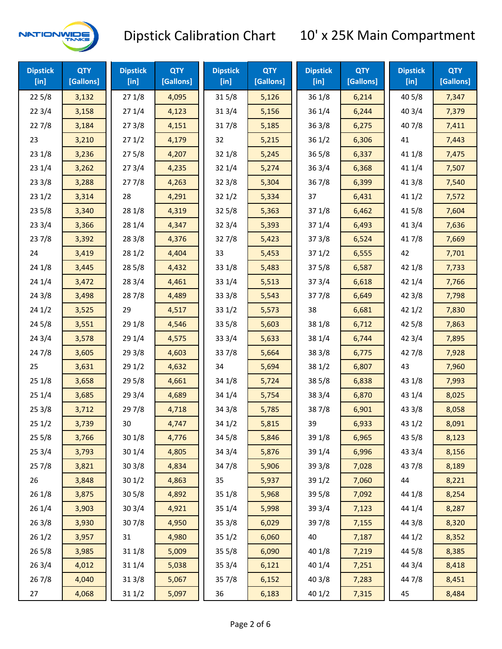

| <b>Dipstick</b><br>$[$ in] | <b>QTY</b><br>[Gallons] | <b>Dipstick</b><br>$[$ in] | <b>QTY</b><br>[Gallons] | <b>Dipstick</b><br>$[$ in] | <b>QTY</b><br>[Gallons] | <b>Dipstick</b><br>[in] | <b>QTY</b><br>[Gallons] | <b>Dipstick</b><br>$[$ in] | <b>QTY</b><br>[Gallons] |
|----------------------------|-------------------------|----------------------------|-------------------------|----------------------------|-------------------------|-------------------------|-------------------------|----------------------------|-------------------------|
| 225/8                      | 3,132                   | 271/8                      | 4,095                   | 315/8                      | 5,126                   | 36 1/8                  | 6,214                   | 40 5/8                     | 7,347                   |
| 223/4                      | 3,158                   | 271/4                      | 4,123                   | 31 3/4                     | 5,156                   | 36 1/4                  | 6,244                   | 40 3/4                     | 7,379                   |
| 227/8                      | 3,184                   | 273/8                      | 4,151                   | 317/8                      | 5,185                   | 363/8                   | 6,275                   | 407/8                      | 7,411                   |
| 23                         | 3,210                   | 271/2                      | 4,179                   | 32                         | 5,215                   | 361/2                   | 6,306                   | 41                         | 7,443                   |
| 231/8                      | 3,236                   | 275/8                      | 4,207                   | 32 1/8                     | 5,245                   | $36\,5/8$               | 6,337                   | 41 1/8                     | 7,475                   |
| 231/4                      | 3,262                   | 273/4                      | 4,235                   | 321/4                      | 5,274                   | 363/4                   | 6,368                   | 41 1/4                     | 7,507                   |
| 233/8                      | 3,288                   | 277/8                      | 4,263                   | 32 3/8                     | 5,304                   | 367/8                   | 6,399                   | 41 3/8                     | 7,540                   |
| 231/2                      | 3,314                   | 28                         | 4,291                   | 321/2                      | 5,334                   | 37                      | 6,431                   | 411/2                      | 7,572                   |
| 235/8                      | 3,340                   | 28 1/8                     | 4,319                   | 325/8                      | 5,363                   | 37 1/8                  | 6,462                   | 41 5/8                     | 7,604                   |
| 233/4                      | 3,366                   | 28 1/4                     | 4,347                   | 32 3/4                     | 5,393                   | 37 1/4                  | 6,493                   | 41 3/4                     | 7,636                   |
| 237/8                      | 3,392                   | 28 3/8                     | 4,376                   | 327/8                      | 5,423                   | 373/8                   | 6,524                   | 417/8                      | 7,669                   |
| 24                         | 3,419                   | 281/2                      | 4,404                   | 33                         | 5,453                   | 371/2                   | 6,555                   | 42                         | 7,701                   |
| 24 1/8                     | 3,445                   | 28 5/8                     | 4,432                   | 33 1/8                     | 5,483                   | 375/8                   | 6,587                   | 42 1/8                     | 7,733                   |
| 241/4                      | 3,472                   | 28 3/4                     | 4,461                   | 33 1/4                     | 5,513                   | 373/4                   | 6,618                   | 42 1/4                     | 7,766                   |
| 243/8                      | 3,498                   | 287/8                      | 4,489                   | 33 3/8                     | 5,543                   | 377/8                   | 6,649                   | 42 3/8                     | 7,798                   |
| 241/2                      | 3,525                   | 29                         | 4,517                   | 331/2                      | 5,573                   | 38                      | 6,681                   | 421/2                      | 7,830                   |
| 245/8                      | 3,551                   | 29 1/8                     | 4,546                   | 33 5/8                     | 5,603                   | 38 1/8                  | 6,712                   | 42 5/8                     | 7,863                   |
| 243/4                      | 3,578                   | 29 1/4                     | 4,575                   | 33 3/4                     | 5,633                   | 38 1/4                  | 6,744                   | 42 3/4                     | 7,895                   |
| 24 7/8                     | 3,605                   | 29 3/8                     | 4,603                   | 337/8                      | 5,664                   | 38 3/8                  | 6,775                   | 42 7/8                     | 7,928                   |
| 25                         | 3,631                   | 29 1/2                     | 4,632                   | 34                         | 5,694                   | 38 1/2                  | 6,807                   | 43                         | 7,960                   |
| 251/8                      | 3,658                   | 29 5/8                     | 4,661                   | 34 1/8                     | 5,724                   | 38 5/8                  | 6,838                   | 43 1/8                     | 7,993                   |
| 251/4                      | 3,685                   | 29 3/4                     | 4,689                   | 34 1/4                     | 5,754                   | 38 3/4                  | 6,870                   | 43 1/4                     | 8,025                   |
| 253/8                      | 3,712                   | 297/8                      | 4,718                   | 34 3/8                     | 5,785                   | 387/8                   | 6,901                   | 43 3/8                     | 8,058                   |
| 251/2                      | 3,739                   | 30                         | 4,747                   | 34 1/2                     | 5,815                   | 39                      | 6,933                   | 43 1/2                     | 8,091                   |
| 255/8                      | 3,766                   | 30 1/8                     | 4,776                   | 34 5/8                     | 5,846                   | 39 1/8                  | 6,965                   | 43 5/8                     | 8,123                   |
| 253/4                      | 3,793                   | 30 1/4                     | 4,805                   | 34 3/4                     | 5,876                   | 39 1/4                  | 6,996                   | 43 3/4                     | 8,156                   |
| 257/8                      | 3,821                   | 30 3/8                     | 4,834                   | 347/8                      | 5,906                   | 39 3/8                  | 7,028                   | 437/8                      | 8,189                   |
| 26                         | 3,848                   | 30 1/2                     | 4,863                   | 35                         | 5,937                   | 39 1/2                  | 7,060                   | 44                         | 8,221                   |
| 26 1/8                     | 3,875                   | 30 5/8                     | 4,892                   | 35 1/8                     | 5,968                   | 39 5/8                  | 7,092                   | 44 1/8                     | 8,254                   |
| 261/4                      | 3,903                   | 30 3/4                     | 4,921                   | 35 1/4                     | 5,998                   | 39 3/4                  | 7,123                   | 44 1/4                     | 8,287                   |
| 26 3/8                     | 3,930                   | 307/8                      | 4,950                   | 35 3/8                     | 6,029                   | 397/8                   | 7,155                   | 44 3/8                     | 8,320                   |
| 261/2                      | 3,957                   | 31                         | 4,980                   | 35 1/2                     | 6,060                   | 40                      | 7,187                   | 44 1/2                     | 8,352                   |
| 265/8                      | 3,985                   | 31 1/8                     | 5,009                   | 35 5/8                     | 6,090                   | 40 1/8                  | 7,219                   | 44 5/8                     | 8,385                   |
| 263/4                      | 4,012                   | 31 1/4                     | 5,038                   | 35 3/4                     | 6,121                   | 40 1/4                  | 7,251                   | 44 3/4                     | 8,418                   |
| 267/8                      | 4,040                   | 31 3/8                     | 5,067                   | 357/8                      | 6,152                   | 40 3/8                  | 7,283                   | 447/8                      | 8,451                   |
| 27                         | 4,068                   | 31 1/2                     | 5,097                   | 36                         | 6,183                   | 40 1/2                  | 7,315                   | 45                         | 8,484                   |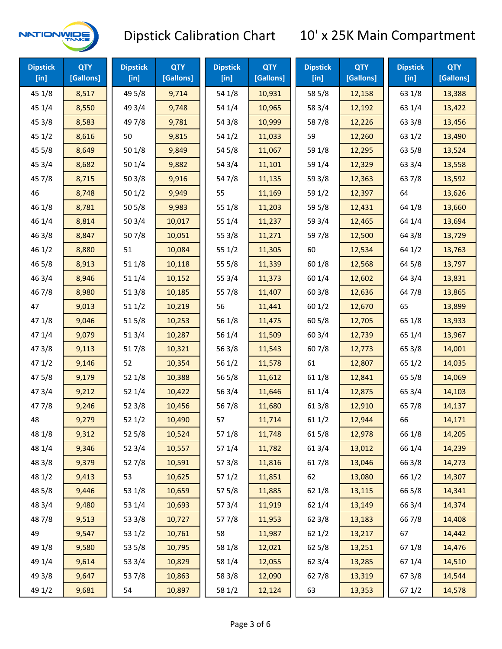

| <b>Dipstick</b><br>$[$ in] | <b>QTY</b><br>[Gallons] | <b>Dipstick</b><br>$[$ in] | <b>QTY</b><br>[Gallons] | <b>Dipstick</b><br>$[$ in] | <b>QTY</b><br>[Gallons] | <b>Dipstick</b><br>$[$ in] | <b>QTY</b><br>[Gallons] | <b>Dipstick</b><br>[in] | <b>QTY</b><br>[Gallons] |
|----------------------------|-------------------------|----------------------------|-------------------------|----------------------------|-------------------------|----------------------------|-------------------------|-------------------------|-------------------------|
| 45 1/8                     | 8,517                   | 49 5/8                     | 9,714                   | 54 1/8                     | 10,931                  | 58 5/8                     | 12,158                  | 63 1/8                  | 13,388                  |
| 45 1/4                     | 8,550                   | 49 3/4                     | 9,748                   | 54 1/4                     | 10,965                  | 58 3/4                     | 12,192                  | 63 1/4                  | 13,422                  |
| 45 3/8                     | 8,583                   | 49 7/8                     | 9,781                   | 54 3/8                     | 10,999                  | 587/8                      | 12,226                  | 63 3/8                  | 13,456                  |
| 451/2                      | 8,616                   | 50                         | 9,815                   | 54 1/2                     | 11,033                  | 59                         | 12,260                  | 63 1/2                  | 13,490                  |
| 45 5/8                     | 8,649                   | 50 1/8                     | 9,849                   | 54 5/8                     | 11,067                  | 59 1/8                     | 12,295                  | 63 5/8                  | 13,524                  |
| 45 3/4                     | 8,682                   | 50 1/4                     | 9,882                   | 54 3/4                     | 11,101                  | 59 1/4                     | 12,329                  | 63 3/4                  | 13,558                  |
| 45 7/8                     | 8,715                   | 503/8                      | 9,916                   | 54 7/8                     | 11,135                  | 59 3/8                     | 12,363                  | 637/8                   | 13,592                  |
| 46                         | 8,748                   | 501/2                      | 9,949                   | 55                         | 11,169                  | 59 1/2                     | 12,397                  | 64                      | 13,626                  |
| 46 1/8                     | 8,781                   | 505/8                      | 9,983                   | 55 1/8                     | 11,203                  | 59 5/8                     | 12,431                  | 64 1/8                  | 13,660                  |
| 46 1/4                     | 8,814                   | 50 3/4                     | 10,017                  | 55 1/4                     | 11,237                  | 59 3/4                     | 12,465                  | 64 1/4                  | 13,694                  |
| 463/8                      | 8,847                   | 507/8                      | 10,051                  | 55 3/8                     | 11,271                  | 597/8                      | 12,500                  | 64 3/8                  | 13,729                  |
| 46 1/2                     | 8,880                   | 51                         | 10,084                  | 55 1/2                     | 11,305                  | 60                         | 12,534                  | 64 1/2                  | 13,763                  |
| 46 5/8                     | 8,913                   | 51 1/8                     | 10,118                  | 55 5/8                     | 11,339                  | 60 1/8                     | 12,568                  | 64 5/8                  | 13,797                  |
| 46 3/4                     | 8,946                   | 51 1/4                     | 10,152                  | 55 3/4                     | 11,373                  | 60 1/4                     | 12,602                  | 64 3/4                  | 13,831                  |
| 46 7/8                     | 8,980                   | 513/8                      | 10,185                  | 55 7/8                     | 11,407                  | 603/8                      | 12,636                  | 647/8                   | 13,865                  |
| 47                         | 9,013                   | 511/2                      | 10,219                  | 56                         | 11,441                  | 601/2                      | 12,670                  | 65                      | 13,899                  |
| 47 1/8                     | 9,046                   | 515/8                      | 10,253                  | 56 1/8                     | 11,475                  | 60 5/8                     | 12,705                  | 65 1/8                  | 13,933                  |
| 47 1/4                     | 9,079                   | 51 3/4                     | 10,287                  | 56 1/4                     | 11,509                  | 60 3/4                     | 12,739                  | 65 1/4                  | 13,967                  |
| 47 3/8                     | 9,113                   | 517/8                      | 10,321                  | 56 3/8                     | 11,543                  | 607/8                      | 12,773                  | 65 3/8                  | 14,001                  |
| 471/2                      | 9,146                   | 52                         | 10,354                  | 56 1/2                     | 11,578                  | 61                         | 12,807                  | 65 1/2                  | 14,035                  |
| 475/8                      | 9,179                   | 52 1/8                     | 10,388                  | 56 5/8                     | 11,612                  | 61 1/8                     | 12,841                  | 65 5/8                  | 14,069                  |
| 47 3/4                     | 9,212                   | 52 1/4                     | 10,422                  | 56 3/4                     | 11,646                  | 61 1/4                     | 12,875                  | 65 3/4                  | 14,103                  |
| 47 7/8                     | 9,246                   | 52 3/8                     | 10,456                  | 567/8                      | 11,680                  | 61 3/8                     | 12,910                  | 65 7/8                  | 14,137                  |
| 48                         | 9,279                   | 521/2                      | 10,490                  | 57                         | 11,714                  | 61 1/2                     | 12,944                  | 66                      | 14,171                  |
| 48 1/8                     | 9,312                   | 52 5/8                     | 10,524                  | 57 1/8                     | 11,748                  | 615/8                      | 12,978                  | 66 1/8                  | 14,205                  |
| 48 1/4                     | 9,346                   | 523/4                      | 10,557                  | 57 1/4                     | 11,782                  | 61 3/4                     | 13,012                  | 66 1/4                  | 14,239                  |
| 48 3/8                     | 9,379                   | 527/8                      | 10,591                  | 57 3/8                     | 11,816                  | 617/8                      | 13,046                  | 66 3/8                  | 14,273                  |
| 48 1/2                     | 9,413                   | 53                         | 10,625                  | 571/2                      | 11,851                  | 62                         | 13,080                  | 66 1/2                  | 14,307                  |
| 48 5/8                     | 9,446                   | 53 1/8                     | 10,659                  | 57 5/8                     | 11,885                  | 62 1/8                     | 13,115                  | 66 5/8                  | 14,341                  |
| 48 3/4                     | 9,480                   | 53 1/4                     | 10,693                  | 573/4                      | 11,919                  | 62 1/4                     | 13,149                  | 66 3/4                  | 14,374                  |
| 487/8                      | 9,513                   | 53 3/8                     | 10,727                  | 577/8                      | 11,953                  | 62 3/8                     | 13,183                  | 667/8                   | 14,408                  |
| 49                         | 9,547                   | 53 1/2                     | 10,761                  | 58                         | 11,987                  | 62 1/2                     | 13,217                  | 67                      | 14,442                  |
| 49 1/8                     | 9,580                   | 53 5/8                     | 10,795                  | 58 1/8                     | 12,021                  | 62 5/8                     | 13,251                  | 671/8                   | 14,476                  |
| 49 1/4                     | 9,614                   | 53 3/4                     | 10,829                  | 58 1/4                     | 12,055                  | 62 3/4                     | 13,285                  | 67 1/4                  | 14,510                  |
| 49 3/8                     | 9,647                   | 537/8                      | 10,863                  | 58 3/8                     | 12,090                  | 627/8                      | 13,319                  | 673/8                   | 14,544                  |
| 49 1/2                     | 9,681                   | 54                         | 10,897                  | 58 1/2                     | 12,124                  | 63                         | 13,353                  | 67 1/2                  | 14,578                  |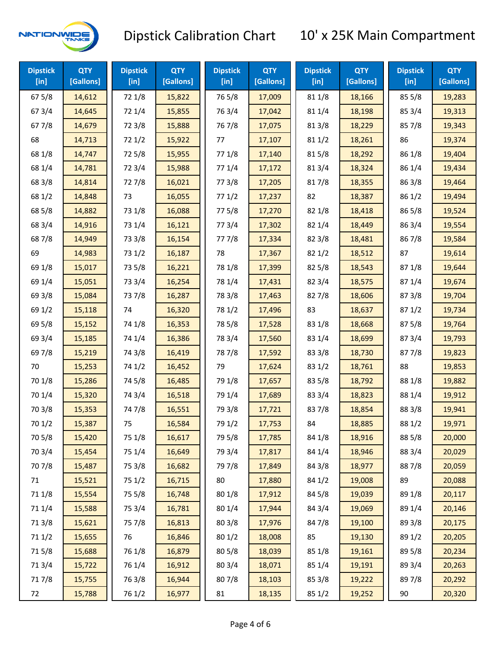

| <b>Dipstick</b><br>$[$ in] | <b>QTY</b><br>[Gallons] | <b>Dipstick</b><br>$[$ in] | <b>QTY</b><br>[Gallons] | <b>Dipstick</b><br>$[$ in] | <b>QTY</b><br>[Gallons] | <b>Dipstick</b><br>$[$ in] | <b>QTY</b><br>[Gallons] | <b>Dipstick</b><br>[in] | <b>QTY</b><br>[Gallons] |
|----------------------------|-------------------------|----------------------------|-------------------------|----------------------------|-------------------------|----------------------------|-------------------------|-------------------------|-------------------------|
| 67 5/8                     | 14,612                  | 72 1/8                     | 15,822                  | 765/8                      | 17,009                  | 81 1/8                     | 18,166                  | 85 5/8                  | 19,283                  |
| 67 3/4                     | 14,645                  | 72 1/4                     | 15,855                  | 763/4                      | 17,042                  | 81 1/4                     | 18,198                  | 85 3/4                  | 19,313                  |
| 677/8                      | 14,679                  | 72 3/8                     | 15,888                  | 767/8                      | 17,075                  | 81 3/8                     | 18,229                  | 857/8                   | 19,343                  |
| 68                         | 14,713                  | 721/2                      | 15,922                  | 77                         | 17,107                  | 81 1/2                     | 18,261                  | 86                      | 19,374                  |
| 68 1/8                     | 14,747                  | 725/8                      | 15,955                  | 77 1/8                     | 17,140                  | 815/8                      | 18,292                  | 86 1/8                  | 19,404                  |
| 68 1/4                     | 14,781                  | 72 3/4                     | 15,988                  | 77 1/4                     | 17,172                  | 813/4                      | 18,324                  | 86 1/4                  | 19,434                  |
| 68 3/8                     | 14,814                  | 727/8                      | 16,021                  | 77 3/8                     | 17,205                  | 817/8                      | 18,355                  | 86 3/8                  | 19,464                  |
| 68 1/2                     | 14,848                  | 73                         | 16,055                  | 771/2                      | 17,237                  | 82                         | 18,387                  | 86 1/2                  | 19,494                  |
| 68 5/8                     | 14,882                  | 73 1/8                     | 16,088                  | 775/8                      | 17,270                  | 82 1/8                     | 18,418                  | 86 5/8                  | 19,524                  |
| 68 3/4                     | 14,916                  | 73 1/4                     | 16,121                  | 773/4                      | 17,302                  | 82 1/4                     | 18,449                  | 86 3/4                  | 19,554                  |
| 687/8                      | 14,949                  | 73 3/8                     | 16,154                  | 777/8                      | 17,334                  | 82 3/8                     | 18,481                  | 867/8                   | 19,584                  |
| 69                         | 14,983                  | 73 1/2                     | 16,187                  | 78                         | 17,367                  | 821/2                      | 18,512                  | 87                      | 19,614                  |
| 69 1/8                     | 15,017                  | 73 5/8                     | 16,221                  | 78 1/8                     | 17,399                  | 825/8                      | 18,543                  | 871/8                   | 19,644                  |
| 69 1/4                     | 15,051                  | 73 3/4                     | 16,254                  | 78 1/4                     | 17,431                  | 82 3/4                     | 18,575                  | 871/4                   | 19,674                  |
| 69 3/8                     | 15,084                  | 737/8                      | 16,287                  | 78 3/8                     | 17,463                  | 827/8                      | 18,606                  | 87 3/8                  | 19,704                  |
| 69 1/2                     | 15,118                  | 74                         | 16,320                  | 78 1/2                     | 17,496                  | 83                         | 18,637                  | 871/2                   | 19,734                  |
| 69 5/8                     | 15,152                  | 74 1/8                     | 16,353                  | 78 5/8                     | 17,528                  | 83 1/8                     | 18,668                  | 875/8                   | 19,764                  |
| 69 3/4                     | 15,185                  | 74 1/4                     | 16,386                  | 78 3/4                     | 17,560                  | 83 1/4                     | 18,699                  | 87 3/4                  | 19,793                  |
| 697/8                      | 15,219                  | 74 3/8                     | 16,419                  | 787/8                      | 17,592                  | 83 3/8                     | 18,730                  | 877/8                   | 19,823                  |
| 70                         | 15,253                  | 74 1/2                     | 16,452                  | 79                         | 17,624                  | 83 1/2                     | 18,761                  | 88                      | 19,853                  |
| 70 1/8                     | 15,286                  | 74 5/8                     | 16,485                  | 79 1/8                     | 17,657                  | 83 5/8                     | 18,792                  | 88 1/8                  | 19,882                  |
| 70 1/4                     | 15,320                  | 74 3/4                     | 16,518                  | 79 1/4                     | 17,689                  | 83 3/4                     | 18,823                  | 88 1/4                  | 19,912                  |
| 70 3/8                     | 15,353                  | 747/8                      | 16,551                  | 79 3/8                     | 17,721                  | 837/8                      | 18,854                  | 88 3/8                  | 19,941                  |
| 70 1/2                     | 15,387                  | 75                         | 16,584                  | 79 1/2                     | 17,753                  | 84                         | 18,885                  | 88 1/2                  | 19,971                  |
| 70 5/8                     | 15,420                  | 75 1/8                     | 16,617                  | 79 5/8                     | 17,785                  | 84 1/8                     | 18,916                  | 88 5/8                  | 20,000                  |
| 70 3/4                     | 15,454                  | 75 1/4                     | 16,649                  | 79 3/4                     | 17,817                  | 84 1/4                     | 18,946                  | 88 3/4                  | 20,029                  |
| 70 7/8                     | 15,487                  | 75 3/8                     | 16,682                  | 79 7/8                     | 17,849                  | 84 3/8                     | 18,977                  | 887/8                   | 20,059                  |
| 71                         | 15,521                  | 75 1/2                     | 16,715                  | $80\,$                     | 17,880                  | 84 1/2                     | 19,008                  | 89                      | 20,088                  |
| 71 1/8                     | 15,554                  | 75 5/8                     | 16,748                  | 80 1/8                     | 17,912                  | 84 5/8                     | 19,039                  | 89 1/8                  | 20,117                  |
| 711/4                      | 15,588                  | 75 3/4                     | 16,781                  | 80 1/4                     | 17,944                  | 84 3/4                     | 19,069                  | 89 1/4                  | 20,146                  |
| 713/8                      | 15,621                  | 75 7/8                     | 16,813                  | 803/8                      | 17,976                  | 847/8                      | 19,100                  | 89 3/8                  | 20,175                  |
| 71 1/2                     | 15,655                  | 76                         | 16,846                  | 80 1/2                     | 18,008                  | 85                         | 19,130                  | 89 1/2                  | 20,205                  |
| 715/8                      | 15,688                  | 76 1/8                     | 16,879                  | 80 5/8                     | 18,039                  | 85 1/8                     | 19,161                  | 89 5/8                  | 20,234                  |
| 713/4                      | 15,722                  | 76 1/4                     | 16,912                  | 80 3/4                     | 18,071                  | 85 1/4                     | 19,191                  | 89 3/4                  | 20,263                  |
| 717/8                      | 15,755                  | 763/8                      | 16,944                  | 807/8                      | 18,103                  | 85 3/8                     | 19,222                  | 897/8                   | 20,292                  |
| 72                         | 15,788                  | 76 1/2                     | 16,977                  | 81                         | 18,135                  | 85 1/2                     | 19,252                  | 90                      | 20,320                  |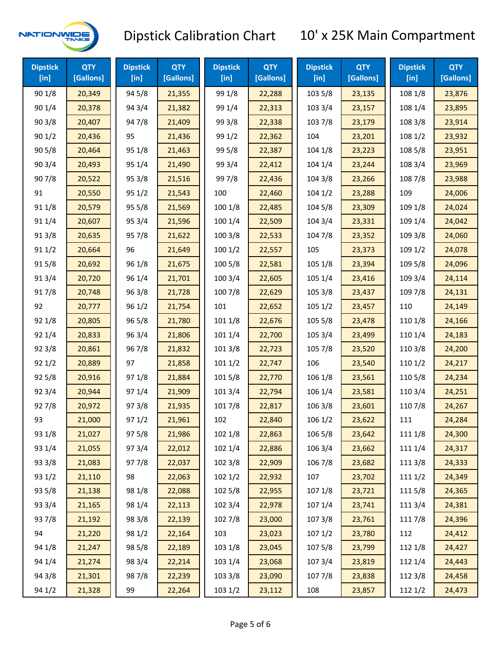

| <b>Dipstick</b><br>[in] | <b>QTY</b><br>[Gallons] | <b>Dipstick</b><br>[in] | <b>QTY</b><br>[Gallons] | <b>Dipstick</b><br>$[$ in] | <b>QTY</b><br>[Gallons] | <b>Dipstick</b><br>[in] | <b>QTY</b><br>[Gallons] | <b>Dipstick</b><br>[in] | <b>QTY</b><br>[Gallons] |
|-------------------------|-------------------------|-------------------------|-------------------------|----------------------------|-------------------------|-------------------------|-------------------------|-------------------------|-------------------------|
| 90 1/8                  | 20,349                  | 94 5/8                  | 21,355                  | 99 1/8                     | 22,288                  | 103 5/8                 | 23,135                  | 108 1/8                 | 23,876                  |
| 90 1/4                  | 20,378                  | 94 3/4                  | 21,382                  | 99 1/4                     | 22,313                  | 103 3/4                 | 23,157                  | 108 1/4                 | 23,895                  |
| 903/8                   | 20,407                  | 947/8                   | 21,409                  | 99 3/8                     | 22,338                  | 103 7/8                 | 23,179                  | 108 3/8                 | 23,914                  |
| 901/2                   | 20,436                  | 95                      | 21,436                  | 99 1/2                     | 22,362                  | 104                     | 23,201                  | 108 1/2                 | 23,932                  |
| 905/8                   | 20,464                  | 95 1/8                  | 21,463                  | 99 5/8                     | 22,387                  | 104 1/8                 | 23,223                  | 108 5/8                 | 23,951                  |
| 90 3/4                  | 20,493                  | 95 1/4                  | 21,490                  | 99 3/4                     | 22,412                  | 104 1/4                 | 23,244                  | 108 3/4                 | 23,969                  |
| 907/8                   | 20,522                  | 95 3/8                  | 21,516                  | 997/8                      | 22,436                  | 104 3/8                 | 23,266                  | 108 7/8                 | 23,988                  |
| 91                      | 20,550                  | 95 1/2                  | 21,543                  | 100                        | 22,460                  | 1041/2                  | 23,288                  | 109                     | 24,006                  |
| 91 1/8                  | 20,579                  | 95 5/8                  | 21,569                  | 100 1/8                    | 22,485                  | 104 5/8                 | 23,309                  | 109 1/8                 | 24,024                  |
| 91 1/4                  | 20,607                  | 95 3/4                  | 21,596                  | 100 1/4                    | 22,509                  | 104 3/4                 | 23,331                  | 109 1/4                 | 24,042                  |
| 913/8                   | 20,635                  | 957/8                   | 21,622                  | 100 3/8                    | 22,533                  | 104 7/8                 | 23,352                  | 109 3/8                 | 24,060                  |
| 911/2                   | 20,664                  | 96                      | 21,649                  | 1001/2                     | 22,557                  | 105                     | 23,373                  | 109 1/2                 | 24,078                  |
| 915/8                   | 20,692                  | 96 1/8                  | 21,675                  | 100 5/8                    | 22,581                  | 105 1/8                 | 23,394                  | 109 5/8                 | 24,096                  |
| 913/4                   | 20,720                  | 96 1/4                  | 21,701                  | 100 3/4                    | 22,605                  | 105 1/4                 | 23,416                  | 109 3/4                 | 24,114                  |
| 917/8                   | 20,748                  | 96 3/8                  | 21,728                  | 100 7/8                    | 22,629                  | 105 3/8                 | 23,437                  | 109 7/8                 | 24,131                  |
| 92                      | 20,777                  | 96 1/2                  | 21,754                  | 101                        | 22,652                  | 1051/2                  | 23,457                  | 110                     | 24,149                  |
| 92 1/8                  | 20,805                  | 96 5/8                  | 21,780                  | 101 1/8                    | 22,676                  | 105 5/8                 | 23,478                  | 110 1/8                 | 24,166                  |
| 92 1/4                  | 20,833                  | 96 3/4                  | 21,806                  | 101 1/4                    | 22,700                  | 105 3/4                 | 23,499                  | 110 1/4                 | 24,183                  |
| 92 3/8                  | 20,861                  | 967/8                   | 21,832                  | 101 3/8                    | 22,723                  | 105 7/8                 | 23,520                  | 110 3/8                 | 24,200                  |
| 92 1/2                  | 20,889                  | 97                      | 21,858                  | 1011/2                     | 22,747                  | 106                     | 23,540                  | 110 1/2                 | 24,217                  |
| 92 5/8                  | 20,916                  | 97 1/8                  | 21,884                  | 101 5/8                    | 22,770                  | 106 1/8                 | 23,561                  | 110 5/8                 | 24,234                  |
| 92 3/4                  | 20,944                  | 97 1/4                  | 21,909                  | 101 3/4                    | 22,794                  | 1061/4                  | 23,581                  | 110 3/4                 | 24,251                  |
| 927/8                   | 20,972                  | 973/8                   | 21,935                  | 101 7/8                    | 22,817                  | 106 3/8                 | 23,601                  | 110 7/8                 | 24,267                  |
| 93                      | 21,000                  | 971/2                   | 21,961                  | 102                        | 22,840                  | 106 1/2                 | 23,622                  | 111                     | 24,284                  |
| 93 1/8                  | 21,027                  | 97 5/8                  | 21,986                  | 102 1/8                    | 22,863                  | 106 5/8                 | 23,642                  | 111 1/8                 | 24,300                  |
| 93 1/4                  | 21,055                  | 973/4                   | 22,012                  | 102 1/4                    | 22,886                  | 106 3/4                 | 23,662                  | 111 1/4                 | 24,317                  |
| 93 3/8                  | 21,083                  | 977/8                   | 22,037                  | 102 3/8                    | 22,909                  | 106 7/8                 | 23,682                  | 111 3/8                 | 24,333                  |
| 93 1/2                  | 21,110                  | 98                      | 22,063                  | 1021/2                     | 22,932                  | 107                     | 23,702                  | 111 1/2                 | 24,349                  |
| 93 5/8                  | 21,138                  | 98 1/8                  | 22,088                  | 102 5/8                    | 22,955                  | 107 1/8                 | 23,721                  | 111 5/8                 | 24,365                  |
| 93 3/4                  | 21,165                  | 98 1/4                  | 22,113                  | 102 3/4                    | 22,978                  | 107 1/4                 | 23,741                  | 111 3/4                 | 24,381                  |
| 937/8                   | 21,192                  | 98 3/8                  | 22,139                  | 102 7/8                    | 23,000                  | 1073/8                  | 23,761                  | 111 7/8                 | 24,396                  |
| 94                      | 21,220                  | 98 1/2                  | 22,164                  | 103                        | 23,023                  | 1071/2                  | 23,780                  | 112                     | 24,412                  |
| 94 1/8                  | 21,247                  | 98 5/8                  | 22,189                  | 103 1/8                    | 23,045                  | 1075/8                  | 23,799                  | 112 1/8                 | 24,427                  |
| 94 1/4                  | 21,274                  | 98 3/4                  | 22,214                  | 103 1/4                    | 23,068                  | 107 3/4                 | 23,819                  | 112 1/4                 | 24,443                  |
| 94 3/8                  | 21,301                  | 987/8                   | 22,239                  | 103 3/8                    | 23,090                  | 1077/8                  | 23,838                  | 112 3/8                 | 24,458                  |
| 94 1/2                  | 21,328                  | 99                      | 22,264                  | 103 1/2                    | 23,112                  | 108                     | 23,857                  | 112 1/2                 | 24,473                  |